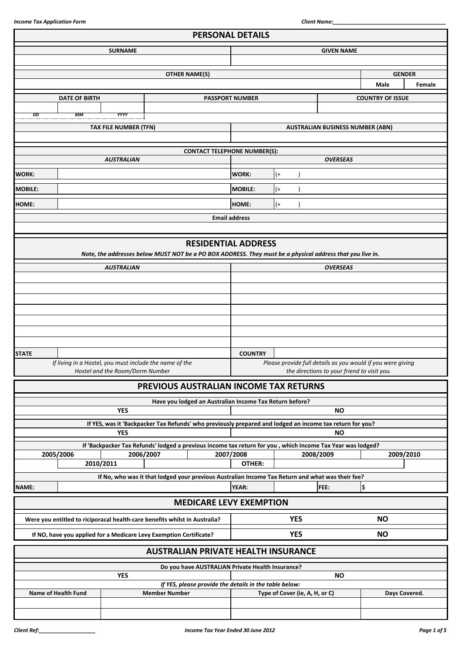|                |                                                                            |                                 |                      |                                                                                                             | <b>PERSONAL DETAILS</b> |       |                                |                                                             |                         |               |
|----------------|----------------------------------------------------------------------------|---------------------------------|----------------------|-------------------------------------------------------------------------------------------------------------|-------------------------|-------|--------------------------------|-------------------------------------------------------------|-------------------------|---------------|
|                |                                                                            | <b>SURNAME</b>                  |                      |                                                                                                             | <b>GIVEN NAME</b>       |       |                                |                                                             |                         |               |
|                |                                                                            |                                 |                      |                                                                                                             |                         |       |                                |                                                             |                         |               |
|                |                                                                            |                                 |                      | <b>OTHER NAME(S)</b>                                                                                        |                         |       |                                |                                                             |                         | <b>GENDER</b> |
|                |                                                                            |                                 |                      |                                                                                                             |                         |       |                                |                                                             | <b>Male</b>             | Female        |
|                | <b>DATE OF BIRTH</b>                                                       |                                 |                      |                                                                                                             | <b>PASSPORT NUMBER</b>  |       |                                |                                                             | <b>COUNTRY OF ISSUE</b> |               |
|                |                                                                            |                                 |                      |                                                                                                             |                         |       |                                |                                                             |                         |               |
| DD             | МM                                                                         | YYYY                            |                      |                                                                                                             |                         |       |                                |                                                             |                         |               |
|                |                                                                            | <b>TAX FILE NUMBER (TFN)</b>    |                      |                                                                                                             |                         |       |                                | <b>AUSTRALIAN BUSINESS NUMBER (ABN)</b>                     |                         |               |
|                |                                                                            |                                 |                      |                                                                                                             |                         |       |                                |                                                             |                         |               |
|                |                                                                            |                                 |                      | <b>CONTACT TELEPHONE NUMBER(S):</b>                                                                         |                         |       |                                |                                                             |                         |               |
|                |                                                                            | <b>AUSTRALIAN</b>               |                      |                                                                                                             |                         |       |                                | <b>OVERSEAS</b>                                             |                         |               |
| <b>WORK:</b>   |                                                                            |                                 |                      |                                                                                                             | WORK:                   | $(+)$ |                                |                                                             |                         |               |
| <b>MOBILE:</b> |                                                                            |                                 |                      |                                                                                                             | <b>MOBILE:</b>          | $($ + |                                |                                                             |                         |               |
|                |                                                                            |                                 |                      |                                                                                                             |                         |       |                                |                                                             |                         |               |
| <b>HOME:</b>   |                                                                            |                                 |                      |                                                                                                             | HOME:                   | $(+)$ |                                |                                                             |                         |               |
|                |                                                                            |                                 |                      |                                                                                                             | <b>Email address</b>    |       |                                |                                                             |                         |               |
|                |                                                                            |                                 |                      |                                                                                                             |                         |       |                                |                                                             |                         |               |
|                |                                                                            |                                 |                      | <b>RESIDENTIAL ADDRESS</b>                                                                                  |                         |       |                                |                                                             |                         |               |
|                |                                                                            |                                 |                      | Note, the addresses below MUST NOT be a PO BOX ADDRESS. They must be a physical address that you live in.   |                         |       |                                |                                                             |                         |               |
|                |                                                                            | <b>AUSTRALIAN</b>               |                      |                                                                                                             |                         |       |                                | <b>OVERSEAS</b>                                             |                         |               |
|                |                                                                            |                                 |                      |                                                                                                             |                         |       |                                |                                                             |                         |               |
|                |                                                                            |                                 |                      |                                                                                                             |                         |       |                                |                                                             |                         |               |
|                |                                                                            |                                 |                      |                                                                                                             |                         |       |                                |                                                             |                         |               |
|                |                                                                            |                                 |                      |                                                                                                             |                         |       |                                |                                                             |                         |               |
|                |                                                                            |                                 |                      |                                                                                                             |                         |       |                                |                                                             |                         |               |
|                |                                                                            |                                 |                      |                                                                                                             |                         |       |                                |                                                             |                         |               |
|                |                                                                            |                                 |                      |                                                                                                             |                         |       |                                |                                                             |                         |               |
| <b>STATE</b>   | If living in a Hostel, you must include the name of the                    |                                 |                      |                                                                                                             | <b>COUNTRY</b>          |       |                                | Please provide full details as you would if you were giving |                         |               |
|                |                                                                            | Hostel and the Room/Dorm Number |                      |                                                                                                             |                         |       |                                | the directions to your friend to visit you.                 |                         |               |
|                |                                                                            |                                 |                      | PREVIOUS AUSTRALIAN INCOME TAX RETURNS                                                                      |                         |       |                                |                                                             |                         |               |
|                |                                                                            |                                 |                      |                                                                                                             |                         |       |                                |                                                             |                         |               |
|                |                                                                            |                                 |                      | Have you lodged an Australian Income Tax Return before?                                                     |                         |       |                                |                                                             |                         |               |
|                |                                                                            | <b>YES</b>                      |                      |                                                                                                             |                         |       |                                | <b>NO</b>                                                   |                         |               |
|                |                                                                            |                                 |                      | If YES, was it 'Backpacker Tax Refunds' who previously prepared and lodged an income tax return for you?    |                         |       |                                |                                                             |                         |               |
|                |                                                                            | <b>YES</b>                      |                      |                                                                                                             |                         |       |                                | <b>NO</b>                                                   |                         |               |
|                | 2005/2006                                                                  | 2006/2007                       |                      | If 'Backpacker Tax Refunds' lodged a previous income tax return for you , which Income Tax Year was lodged? | 2007/2008               |       |                                | 2008/2009                                                   |                         | 2009/2010     |
|                | 2010/2011                                                                  |                                 |                      |                                                                                                             | OTHER:                  |       |                                |                                                             |                         |               |
|                |                                                                            |                                 |                      | If No, who was it that lodged your previous Australian Income Tax Return and what was their fee?            |                         |       |                                |                                                             |                         |               |
| NAME:          |                                                                            |                                 |                      |                                                                                                             | <b>YEAR:</b>            |       |                                | FEE:                                                        | \$                      |               |
|                |                                                                            |                                 |                      |                                                                                                             |                         |       |                                |                                                             |                         |               |
|                |                                                                            |                                 |                      | <b>MEDICARE LEVY EXEMPTION</b>                                                                              |                         |       |                                |                                                             |                         |               |
|                | Were you entitled to riciporacal health-care benefits whilst in Australia? |                                 |                      |                                                                                                             |                         |       | <b>YES</b>                     |                                                             | <b>NO</b>               |               |
|                | If NO, have you applied for a Medicare Levy Exemption Certificate?         |                                 |                      |                                                                                                             |                         |       | <b>YES</b>                     |                                                             | <b>NO</b>               |               |
|                |                                                                            |                                 |                      |                                                                                                             |                         |       |                                |                                                             |                         |               |
|                |                                                                            |                                 |                      | <b>AUSTRALIAN PRIVATE HEALTH INSURANCE</b>                                                                  |                         |       |                                |                                                             |                         |               |
|                |                                                                            |                                 |                      | Do you have AUSTRALIAN Private Health Insurance?                                                            |                         |       |                                |                                                             |                         |               |
|                |                                                                            | <b>YES</b>                      |                      |                                                                                                             |                         |       |                                | <b>NO</b>                                                   |                         |               |
|                |                                                                            |                                 |                      | If YES, please provide the details in the table below:                                                      |                         |       |                                |                                                             |                         |               |
|                | <b>Name of Health Fund</b>                                                 |                                 | <b>Member Number</b> |                                                                                                             |                         |       | Type of Cover (ie, A, H, or C) |                                                             |                         | Days Covered. |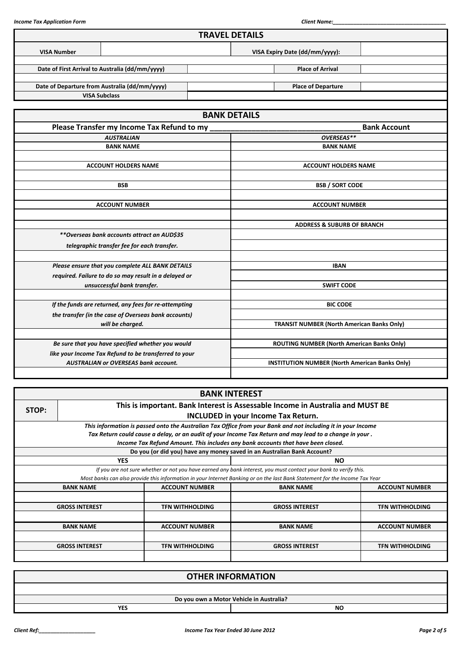|                    |                                                       | <b>TRAVEL DETAILS</b>                                 |                                                   |                     |  |  |
|--------------------|-------------------------------------------------------|-------------------------------------------------------|---------------------------------------------------|---------------------|--|--|
| <b>VISA Number</b> |                                                       |                                                       | VISA Expiry Date (dd/mm/yyyy):                    |                     |  |  |
|                    | Date of First Arrival to Australia (dd/mm/yyyy)       |                                                       | <b>Place of Arrival</b>                           |                     |  |  |
|                    |                                                       |                                                       |                                                   |                     |  |  |
|                    | Date of Departure from Australia (dd/mm/yyyy)         |                                                       | <b>Place of Departure</b>                         |                     |  |  |
|                    | <b>VISA Subclass</b>                                  |                                                       |                                                   |                     |  |  |
|                    |                                                       |                                                       |                                                   |                     |  |  |
|                    |                                                       | <b>BANK DETAILS</b>                                   |                                                   |                     |  |  |
|                    | Please Transfer my Income Tax Refund to my            |                                                       |                                                   | <b>Bank Account</b> |  |  |
|                    | <b>AUSTRALIAN</b>                                     |                                                       | OVERSEAS**                                        |                     |  |  |
|                    | <b>BANK NAME</b>                                      |                                                       | <b>BANK NAME</b>                                  |                     |  |  |
|                    |                                                       |                                                       |                                                   |                     |  |  |
|                    | <b>ACCOUNT HOLDERS NAME</b>                           |                                                       | <b>ACCOUNT HOLDERS NAME</b>                       |                     |  |  |
|                    |                                                       |                                                       |                                                   |                     |  |  |
|                    | <b>BSB</b>                                            |                                                       | <b>BSB / SORT CODE</b>                            |                     |  |  |
|                    |                                                       |                                                       |                                                   |                     |  |  |
|                    | <b>ACCOUNT NUMBER</b>                                 |                                                       | <b>ACCOUNT NUMBER</b>                             |                     |  |  |
|                    |                                                       |                                                       |                                                   |                     |  |  |
|                    |                                                       |                                                       | <b>ADDRESS &amp; SUBURB OF BRANCH</b>             |                     |  |  |
|                    | **Overseas bank accounts attract an AUD\$35           |                                                       |                                                   |                     |  |  |
|                    | telegraphic transfer fee for each transfer.           |                                                       |                                                   |                     |  |  |
|                    |                                                       |                                                       |                                                   |                     |  |  |
|                    | Please ensure that you complete ALL BANK DETAILS      |                                                       | <b>IBAN</b>                                       |                     |  |  |
|                    | required. Failure to do so may result in a delayed or |                                                       |                                                   |                     |  |  |
|                    | unsuccessful bank transfer.                           |                                                       | <b>SWIFT CODE</b>                                 |                     |  |  |
|                    | If the funds are returned, any fees for re-attempting |                                                       | <b>BIC CODE</b>                                   |                     |  |  |
|                    | the transfer (in the case of Overseas bank accounts)  |                                                       |                                                   |                     |  |  |
|                    | will be charged.                                      |                                                       | <b>TRANSIT NUMBER (North American Banks Only)</b> |                     |  |  |
|                    |                                                       |                                                       |                                                   |                     |  |  |
|                    | Be sure that you have specified whether you would     |                                                       | ROUTING NUMBER (North American Banks Only)        |                     |  |  |
|                    | like your Income Tax Refund to be transferred to your |                                                       |                                                   |                     |  |  |
|                    | <b>AUSTRALIAN or OVERSEAS bank account.</b>           | <b>INSTITUTION NUMBER (North American Banks Only)</b> |                                                   |                     |  |  |
|                    |                                                       |                                                       |                                                   |                     |  |  |

|  | <b>BANK INTEREST</b>                                                                                                           |                        |                                                                                                                             |                        |  |  |  |  |  |  |
|--|--------------------------------------------------------------------------------------------------------------------------------|------------------------|-----------------------------------------------------------------------------------------------------------------------------|------------------------|--|--|--|--|--|--|
|  | This is important. Bank Interest is Assessable Income in Australia and MUST BE<br>STOP:<br>INCLUDED in your Income Tax Return. |                        |                                                                                                                             |                        |  |  |  |  |  |  |
|  |                                                                                                                                |                        |                                                                                                                             |                        |  |  |  |  |  |  |
|  |                                                                                                                                |                        | This information is passed onto the Australian Tax Office from your Bank and not including it in your Income                |                        |  |  |  |  |  |  |
|  |                                                                                                                                |                        | Tax Return could cause a delay, or an audit of your Income Tax Return and may lead to a change in your.                     |                        |  |  |  |  |  |  |
|  |                                                                                                                                |                        | Income Tax Refund Amount. This includes any bank accounts that have been closed.                                            |                        |  |  |  |  |  |  |
|  |                                                                                                                                |                        | Do you (or did you) have any money saved in an Australian Bank Account?                                                     |                        |  |  |  |  |  |  |
|  | <b>YES</b>                                                                                                                     |                        | NO.                                                                                                                         |                        |  |  |  |  |  |  |
|  |                                                                                                                                |                        | If you are not sure whether or not you have earned any bank interest, you must contact your bank to verify this.            |                        |  |  |  |  |  |  |
|  |                                                                                                                                |                        | Most banks can also provide this information in your Internet Banking or on the last Bank Statement for the Income Tax Year |                        |  |  |  |  |  |  |
|  | <b>BANK NAME</b>                                                                                                               | <b>ACCOUNT NUMBER</b>  | <b>BANK NAME</b>                                                                                                            | <b>ACCOUNT NUMBER</b>  |  |  |  |  |  |  |
|  |                                                                                                                                |                        |                                                                                                                             |                        |  |  |  |  |  |  |
|  | <b>GROSS INTEREST</b>                                                                                                          | <b>TFN WITHHOLDING</b> | <b>GROSS INTEREST</b>                                                                                                       | <b>TFN WITHHOLDING</b> |  |  |  |  |  |  |
|  |                                                                                                                                |                        |                                                                                                                             |                        |  |  |  |  |  |  |
|  | <b>BANK NAME</b>                                                                                                               | <b>ACCOUNT NUMBER</b>  | <b>BANK NAME</b>                                                                                                            | <b>ACCOUNT NUMBER</b>  |  |  |  |  |  |  |
|  |                                                                                                                                |                        |                                                                                                                             |                        |  |  |  |  |  |  |
|  | <b>GROSS INTEREST</b>                                                                                                          | <b>TFN WITHHOLDING</b> | <b>GROSS INTEREST</b>                                                                                                       | <b>TFN WITHHOLDING</b> |  |  |  |  |  |  |
|  |                                                                                                                                |                        |                                                                                                                             |                        |  |  |  |  |  |  |

|            | <b>OTHER INFORMATION</b>                 |
|------------|------------------------------------------|
|            |                                          |
|            | Do you own a Motor Vehicle in Australia? |
| <b>YES</b> | <b>NO</b>                                |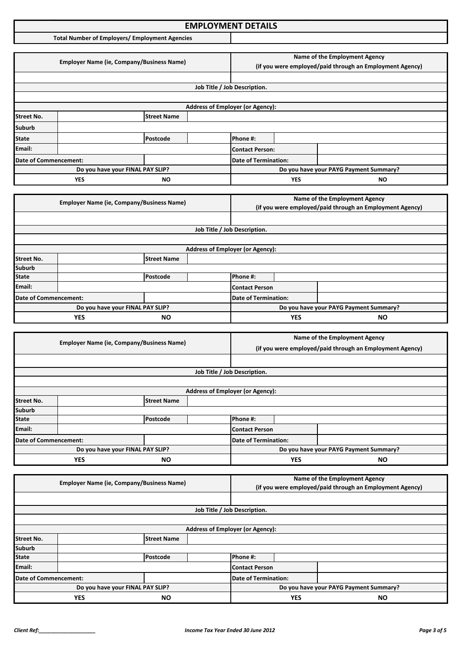### **Income Tax Application Format: EMPLOYMENT DETAILS**

**Total Number of Employers/ Employment Agencies**

|                                                                                                                  | <b>Employer Name (ie, Company/Business Name)</b> |                                  |  | Name of the Employment Agency<br>(if you were employed/paid through an Employment Agency) |    |                                        |  |
|------------------------------------------------------------------------------------------------------------------|--------------------------------------------------|----------------------------------|--|-------------------------------------------------------------------------------------------|----|----------------------------------------|--|
|                                                                                                                  |                                                  |                                  |  |                                                                                           |    |                                        |  |
|                                                                                                                  |                                                  |                                  |  | Job Title / Job Description.                                                              |    |                                        |  |
|                                                                                                                  |                                                  |                                  |  |                                                                                           |    |                                        |  |
|                                                                                                                  |                                                  |                                  |  | <b>Address of Employer (or Agency):</b>                                                   |    |                                        |  |
| <b>Street No.</b>                                                                                                |                                                  | <b>Street Name</b>               |  |                                                                                           |    |                                        |  |
| Suburb                                                                                                           |                                                  |                                  |  |                                                                                           |    |                                        |  |
| <b>State</b>                                                                                                     |                                                  | Postcode                         |  | Phone #:                                                                                  |    |                                        |  |
| Email:                                                                                                           |                                                  |                                  |  | <b>Contact Person:</b>                                                                    |    |                                        |  |
| Date of Commencement:                                                                                            |                                                  |                                  |  | <b>Date of Termination:</b>                                                               |    |                                        |  |
|                                                                                                                  |                                                  | Do you have your FINAL PAY SLIP? |  |                                                                                           |    | Do you have your PAYG Payment Summary? |  |
| <b>YES</b><br>ΝO                                                                                                 |                                                  |                                  |  | <b>YES</b>                                                                                | ΝO |                                        |  |
|                                                                                                                  |                                                  |                                  |  |                                                                                           |    |                                        |  |
| $F_{\text{model}}$ . The Mean of $F_{\text{model}}$ is the contract of $F_{\text{model}}$ and $F_{\text{model}}$ |                                                  |                                  |  |                                                                                           |    | Name of the Employment Agency          |  |

|                                         | <b>Employer Name (ie, Company/Business Name)</b> |          |                                         | (if you were employed/paid through an Employment Agency) |            |                                        |  |  |
|-----------------------------------------|--------------------------------------------------|----------|-----------------------------------------|----------------------------------------------------------|------------|----------------------------------------|--|--|
|                                         |                                                  |          |                                         |                                                          |            |                                        |  |  |
|                                         |                                                  |          |                                         | Job Title / Job Description.                             |            |                                        |  |  |
|                                         |                                                  |          |                                         |                                                          |            |                                        |  |  |
|                                         |                                                  |          | <b>Address of Employer (or Agency):</b> |                                                          |            |                                        |  |  |
| <b>Street No.</b><br><b>Street Name</b> |                                                  |          |                                         |                                                          |            |                                        |  |  |
| <b>Suburb</b>                           |                                                  |          |                                         |                                                          |            |                                        |  |  |
| <b>State</b>                            |                                                  | Postcode |                                         | Phone #:                                                 |            |                                        |  |  |
| <b>Email:</b>                           |                                                  |          |                                         | Contact Person                                           |            |                                        |  |  |
| Date of Commencement:                   |                                                  |          | Date of Termination:                    |                                                          |            |                                        |  |  |
|                                         | Do you have your FINAL PAY SLIP?                 |          |                                         |                                                          |            | Do you have your PAYG Payment Summary? |  |  |
|                                         | <b>YES</b><br><b>NO</b>                          |          |                                         |                                                          | <b>YES</b> | NO.                                    |  |  |

|                   | <b>Employer Name (ie, Company/Business Name)</b> |                    | Name of the Employment Agency |                                                          |           |                                        |  |
|-------------------|--------------------------------------------------|--------------------|-------------------------------|----------------------------------------------------------|-----------|----------------------------------------|--|
|                   |                                                  |                    |                               | (if you were employed/paid through an Employment Agency) |           |                                        |  |
|                   |                                                  |                    |                               |                                                          |           |                                        |  |
|                   |                                                  |                    |                               | Job Title / Job Description.                             |           |                                        |  |
|                   |                                                  |                    |                               |                                                          |           |                                        |  |
|                   |                                                  |                    |                               | <b>Address of Employer (or Agency):</b>                  |           |                                        |  |
| <b>Street No.</b> |                                                  | <b>Street Name</b> |                               |                                                          |           |                                        |  |
| <b>Suburb</b>     |                                                  |                    |                               |                                                          |           |                                        |  |
| <b>State</b>      |                                                  | Postcode           |                               | Phone #:                                                 |           |                                        |  |
| Email:            |                                                  |                    |                               | <b>Contact Person</b>                                    |           |                                        |  |
|                   | Date of Commencement:                            |                    | <b>Date of Termination:</b>   |                                                          |           |                                        |  |
|                   | Do you have your FINAL PAY SLIP?                 |                    |                               |                                                          |           | Do you have your PAYG Payment Summary? |  |
| <b>YES</b><br>NΟ  |                                                  |                    |                               | <b>YES</b>                                               | <b>NO</b> |                                        |  |

|                                  | <b>Employer Name (ie, Company/Business Name)</b> |                    |                                        | Name of the Employment Agency                            |           |  |  |
|----------------------------------|--------------------------------------------------|--------------------|----------------------------------------|----------------------------------------------------------|-----------|--|--|
|                                  |                                                  |                    |                                        | (if you were employed/paid through an Employment Agency) |           |  |  |
|                                  |                                                  |                    |                                        |                                                          |           |  |  |
|                                  |                                                  |                    |                                        | Job Title / Job Description.                             |           |  |  |
|                                  |                                                  |                    |                                        |                                                          |           |  |  |
|                                  |                                                  |                    |                                        | <b>Address of Employer (or Agency):</b>                  |           |  |  |
| <b>Street No.</b>                |                                                  | <b>Street Name</b> |                                        |                                                          |           |  |  |
| <b>Suburb</b>                    |                                                  |                    |                                        |                                                          |           |  |  |
| <b>State</b>                     |                                                  | Postcode           |                                        | Phone #:                                                 |           |  |  |
| Email:                           |                                                  |                    |                                        | Contact Person                                           |           |  |  |
|                                  | Date of Commencement:                            |                    | Date of Termination:                   |                                                          |           |  |  |
| Do you have your FINAL PAY SLIP? |                                                  |                    | Do you have your PAYG Payment Summary? |                                                          |           |  |  |
| <b>YES</b><br><b>NO</b>          |                                                  |                    |                                        | <b>YES</b>                                               | <b>NO</b> |  |  |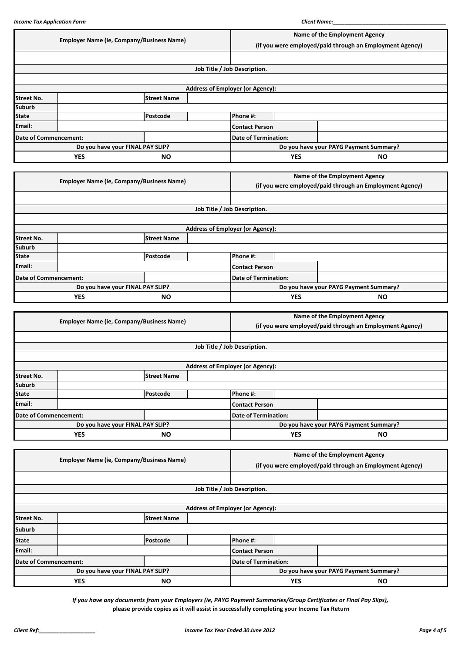|                              | <b>Employer Name (ie, Company/Business Name)</b> |                                                  |            |                                                          | Name of the Employment Agency |           |  |  |
|------------------------------|--------------------------------------------------|--------------------------------------------------|------------|----------------------------------------------------------|-------------------------------|-----------|--|--|
|                              |                                                  |                                                  |            | (if you were employed/paid through an Employment Agency) |                               |           |  |  |
|                              |                                                  |                                                  |            |                                                          |                               |           |  |  |
|                              |                                                  |                                                  |            | Job Title / Job Description.                             |                               |           |  |  |
|                              |                                                  |                                                  |            |                                                          |                               |           |  |  |
|                              |                                                  |                                                  |            | <b>Address of Employer (or Agency):</b>                  |                               |           |  |  |
| <b>Street No.</b>            |                                                  | <b>Street Name</b>                               |            |                                                          |                               |           |  |  |
| <b>Suburb</b>                |                                                  |                                                  |            |                                                          |                               |           |  |  |
| <b>State</b>                 |                                                  | Postcode                                         |            | Phone #:                                                 |                               |           |  |  |
| Email:                       |                                                  |                                                  |            | <b>Contact Person</b>                                    |                               |           |  |  |
| <b>Date of Commencement:</b> |                                                  |                                                  |            | <b>Date of Termination:</b>                              |                               |           |  |  |
|                              | Do you have your FINAL PAY SLIP?                 |                                                  |            | Do you have your PAYG Payment Summary?                   |                               |           |  |  |
|                              | <b>YES</b>                                       | <b>NO</b>                                        |            |                                                          | <b>YES</b>                    | <b>NO</b> |  |  |
|                              |                                                  |                                                  |            |                                                          |                               |           |  |  |
|                              |                                                  | <b>Employer Name (ie, Company/Business Name)</b> |            | Name of the Employment Agency                            |                               |           |  |  |
|                              |                                                  |                                                  |            | (if you were employed/paid through an Employment Agency) |                               |           |  |  |
|                              |                                                  |                                                  |            |                                                          |                               |           |  |  |
|                              |                                                  |                                                  |            | Job Title / Job Description.                             |                               |           |  |  |
|                              |                                                  |                                                  |            |                                                          |                               |           |  |  |
|                              |                                                  |                                                  |            | <b>Address of Employer (or Agency):</b>                  |                               |           |  |  |
| <b>Street No.</b>            |                                                  | <b>Street Name</b>                               |            |                                                          |                               |           |  |  |
| <b>Suburb</b>                |                                                  |                                                  |            |                                                          |                               |           |  |  |
| <b>State</b>                 |                                                  | Postcode                                         |            | Phone #:                                                 |                               |           |  |  |
| Email:                       |                                                  |                                                  |            | <b>Contact Person</b>                                    |                               |           |  |  |
| <b>Date of Commencement:</b> |                                                  |                                                  |            | <b>Date of Termination:</b>                              |                               |           |  |  |
|                              |                                                  | Do you have your FINAL PAY SLIP?                 |            | Do you have your PAYG Payment Summary?                   |                               |           |  |  |
| <b>YES</b><br><b>NO</b>      |                                                  |                                                  | <b>YES</b> | <b>NO</b>                                                |                               |           |  |  |

|                                  | <b>Employer Name (ie, Company/Business Name)</b> |                                        |            | Name of the Employment Agency                            |  |  |
|----------------------------------|--------------------------------------------------|----------------------------------------|------------|----------------------------------------------------------|--|--|
|                                  |                                                  |                                        |            | (if you were employed/paid through an Employment Agency) |  |  |
|                                  |                                                  |                                        |            |                                                          |  |  |
|                                  |                                                  |                                        |            | Job Title / Job Description.                             |  |  |
|                                  |                                                  |                                        |            |                                                          |  |  |
|                                  |                                                  |                                        |            | <b>Address of Employer (or Agency):</b>                  |  |  |
| <b>Street No.</b>                |                                                  | <b>Street Name</b>                     |            |                                                          |  |  |
| <b>Suburb</b>                    |                                                  |                                        |            |                                                          |  |  |
| <b>State</b>                     |                                                  | Postcode                               |            | <b>Phone #:</b>                                          |  |  |
| Email:                           |                                                  |                                        |            | <b>Contact Person</b>                                    |  |  |
|                                  | Date of Commencement:                            |                                        |            | <b>Date of Termination:</b>                              |  |  |
| Do you have your FINAL PAY SLIP? |                                                  | Do you have your PAYG Payment Summary? |            |                                                          |  |  |
| <b>YES</b><br><b>NO</b>          |                                                  |                                        | <b>YES</b> | <b>NO</b>                                                |  |  |

|                       |                                                  |                    |                                         | Name of the Employment Agency                            |            |           |  |
|-----------------------|--------------------------------------------------|--------------------|-----------------------------------------|----------------------------------------------------------|------------|-----------|--|
|                       | <b>Employer Name (ie, Company/Business Name)</b> |                    |                                         | (if you were employed/paid through an Employment Agency) |            |           |  |
|                       |                                                  |                    |                                         |                                                          |            |           |  |
|                       |                                                  |                    |                                         | Job Title / Job Description.                             |            |           |  |
|                       |                                                  |                    |                                         |                                                          |            |           |  |
|                       |                                                  |                    | <b>Address of Employer (or Agency):</b> |                                                          |            |           |  |
| <b>Street No.</b>     |                                                  | <b>Street Name</b> |                                         |                                                          |            |           |  |
| <b>Suburb</b>         |                                                  |                    |                                         |                                                          |            |           |  |
| <b>State</b>          |                                                  | Postcode           |                                         | Phone #:                                                 |            |           |  |
| Email:                |                                                  |                    |                                         | <b>Contact Person</b>                                    |            |           |  |
| Date of Commencement: |                                                  |                    |                                         | <b>Date of Termination:</b>                              |            |           |  |
|                       | Do you have your FINAL PAY SLIP?                 |                    |                                         | Do you have your PAYG Payment Summary?                   |            |           |  |
|                       | <b>YES</b><br>NO.                                |                    |                                         |                                                          | <b>YES</b> | <b>NO</b> |  |

*If you have any documents from your Employers (ie, PAYG Payment Summaries/Group Certificates or Final Pay Slips),* **please provide copies as it will assist in successfully completing your Income Tax Return**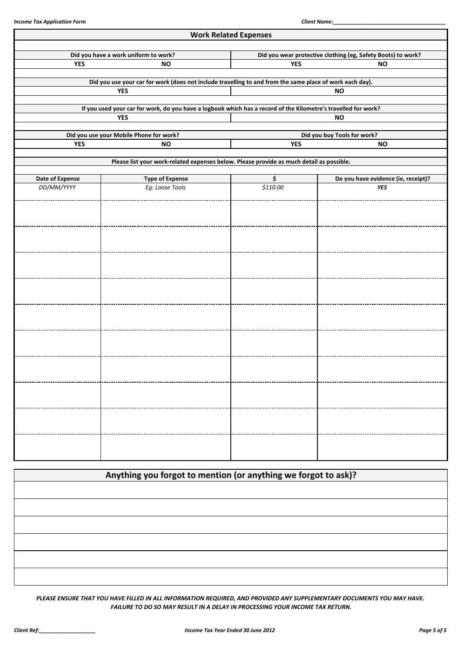|                 |                                                                                                                | <b>Work Related Expenses</b> |                                                              |  |  |  |  |
|-----------------|----------------------------------------------------------------------------------------------------------------|------------------------------|--------------------------------------------------------------|--|--|--|--|
|                 | Did you have a work uniform to work?                                                                           |                              | Did you wear protective clothing (eg, Safety Boots) to work? |  |  |  |  |
| <b>YES</b>      | <b>NO</b>                                                                                                      | <b>YES</b><br><b>NO</b>      |                                                              |  |  |  |  |
|                 | Did you use your car for work (does not include travelling to and from the same place of work each day).       |                              |                                                              |  |  |  |  |
|                 | <b>YES</b>                                                                                                     |                              | <b>NO</b>                                                    |  |  |  |  |
|                 | If you used your car for work, do you have a logbook which has a record of the Kilometre's travelled for work? |                              |                                                              |  |  |  |  |
|                 | <b>YES</b>                                                                                                     |                              | <b>NO</b>                                                    |  |  |  |  |
|                 | Did you use your Mobile Phone for work?                                                                        |                              | Did you buy Tools for work?                                  |  |  |  |  |
| <b>YES</b>      | <b>NO</b>                                                                                                      | <b>YES</b>                   | <b>NO</b>                                                    |  |  |  |  |
|                 | Please list your work-related expenses below. Please provide as much detail as possible.                       |                              |                                                              |  |  |  |  |
| Date of Expense | <b>Type of Expense</b>                                                                                         | \$                           | Do you have evidence (ie, receipt)?                          |  |  |  |  |
| DD/MM/YYYY      | Eg: Loose Tools                                                                                                | \$110.00                     | <b>YES</b>                                                   |  |  |  |  |
|                 |                                                                                                                |                              |                                                              |  |  |  |  |
|                 |                                                                                                                |                              |                                                              |  |  |  |  |
|                 |                                                                                                                |                              |                                                              |  |  |  |  |
|                 |                                                                                                                |                              |                                                              |  |  |  |  |
|                 |                                                                                                                |                              |                                                              |  |  |  |  |
|                 |                                                                                                                |                              |                                                              |  |  |  |  |
|                 |                                                                                                                |                              |                                                              |  |  |  |  |
|                 |                                                                                                                |                              |                                                              |  |  |  |  |
|                 |                                                                                                                |                              |                                                              |  |  |  |  |
|                 |                                                                                                                |                              |                                                              |  |  |  |  |
|                 |                                                                                                                |                              |                                                              |  |  |  |  |
|                 |                                                                                                                |                              |                                                              |  |  |  |  |
|                 |                                                                                                                |                              |                                                              |  |  |  |  |
|                 |                                                                                                                |                              |                                                              |  |  |  |  |
|                 |                                                                                                                |                              |                                                              |  |  |  |  |
|                 |                                                                                                                |                              |                                                              |  |  |  |  |
|                 |                                                                                                                |                              |                                                              |  |  |  |  |
|                 |                                                                                                                |                              |                                                              |  |  |  |  |
|                 |                                                                                                                |                              |                                                              |  |  |  |  |
|                 |                                                                                                                |                              |                                                              |  |  |  |  |

| Anything you forgot to mention (or anything we forgot to ask)? |  |
|----------------------------------------------------------------|--|
|                                                                |  |
|                                                                |  |
|                                                                |  |
|                                                                |  |
|                                                                |  |
|                                                                |  |

*PLEASE ENSURE THAT YOU HAVE FILLED IN ALL INFORMATION REQUIRED, AND PROVIDED ANY SUPPLEMENTARY DOCUMENTS YOU MAY HAVE. FAILURE TO DO SO MAY RESULT IN A DELAY IN PROCESSING YOUR INCOME TAX RETURN.*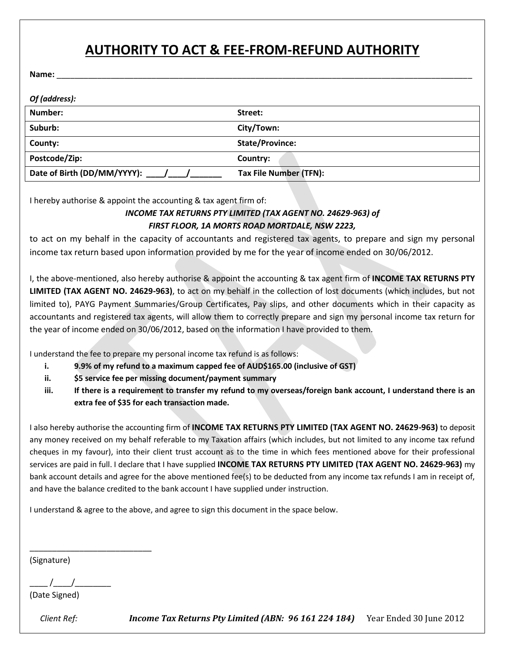# **AUTHORITY TO ACT & FEE-FROM-REFUND AUTHORITY**

**Name:** \_\_\_\_\_\_\_\_\_\_\_\_\_\_\_\_\_\_\_\_\_\_\_\_\_\_\_\_\_\_\_\_\_\_\_\_\_\_\_\_\_\_\_\_\_\_\_\_\_\_\_\_\_\_\_\_\_\_\_\_\_\_\_\_\_\_\_\_\_\_\_\_\_\_\_\_\_\_\_\_\_\_\_\_\_\_\_\_\_\_\_\_

| Of (address):               |                        |
|-----------------------------|------------------------|
| Number:                     | Street:                |
| Suburb:                     | City/Town:             |
| County:                     | <b>State/Province:</b> |
| Postcode/Zip:               | Country:               |
| Date of Birth (DD/MM/YYYY): | Tax File Number (TFN): |

I hereby authorise & appoint the accounting & tax agent firm of:

#### *INCOME TAX RETURNS PTY LIMITED (TAX AGENT NO. 24629-963) of FIRST FLOOR, 1A MORTS ROAD MORTDALE, NSW 2223,*

to act on my behalf in the capacity of accountants and registered tax agents, to prepare and sign my personal income tax return based upon information provided by me for the year of income ended on 30/06/2012.

I, the above-mentioned, also hereby authorise & appoint the accounting & tax agent firm of **INCOME TAX RETURNS PTY LIMITED (TAX AGENT NO. 24629-963)**, to act on my behalf in the collection of lost documents (which includes, but not limited to), PAYG Payment Summaries/Group Certificates, Pay slips, and other documents which in their capacity as accountants and registered tax agents, will allow them to correctly prepare and sign my personal income tax return for the year of income ended on 30/06/2012, based on the information I have provided to them.

I understand the fee to prepare my personal income tax refund is as follows:

- **i. 9.9% of my refund to a maximum capped fee of AUD\$165.00 (inclusive of GST)**
- **ii. \$5 service fee per missing document/payment summary**
- **iii. If there is a requirement to transfer my refund to my overseas/foreign bank account, I understand there is an extra fee of \$35 for each transaction made.**

I also hereby authorise the accounting firm of **INCOME TAX RETURNS PTY LIMITED (TAX AGENT NO. 24629-963)** to deposit any money received on my behalf referable to my Taxation affairs (which includes, but not limited to any income tax refund cheques in my favour), into their client trust account as to the time in which fees mentioned above for their professional services are paid in full. I declare that I have supplied **INCOME TAX RETURNS PTY LIMITED (TAX AGENT NO. 24629-963)** my bank account details and agree for the above mentioned fee(s) to be deducted from any income tax refunds I am in receipt of, and have the balance credited to the bank account I have supplied under instruction.

I understand & agree to the above, and agree to sign this document in the space below.

(Signature)

 $\frac{1}{2}$  /

\_\_\_\_\_\_\_\_\_\_\_\_\_\_\_\_\_\_\_\_\_\_\_\_\_\_\_

(Date Signed)